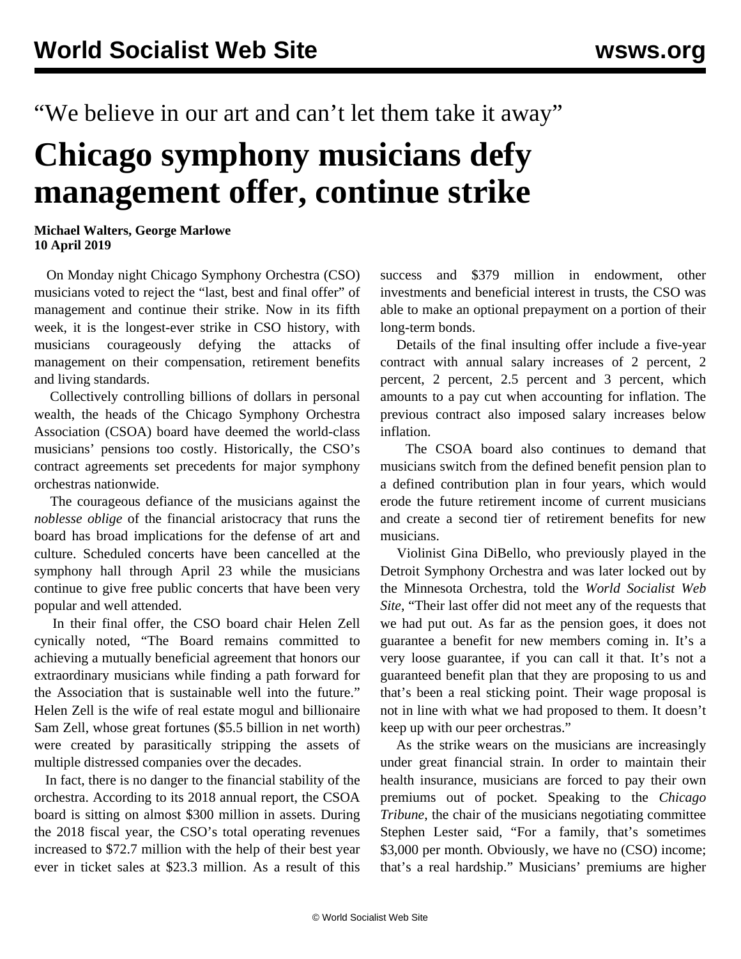"We believe in our art and can't let them take it away"

## **Chicago symphony musicians defy management offer, continue strike**

## **Michael Walters, George Marlowe 10 April 2019**

 On Monday night Chicago Symphony Orchestra (CSO) musicians voted to reject the "last, best and final offer" of management and continue their strike. Now in its fifth week, it is the longest-ever strike in CSO history, with musicians courageously defying the attacks of management on their compensation, retirement benefits and living standards.

 Collectively controlling billions of dollars in personal wealth, the heads of the Chicago Symphony Orchestra Association (CSOA) board have deemed the world-class musicians' pensions too costly. Historically, the CSO's contract agreements set precedents for major symphony orchestras nationwide.

 The courageous defiance of the musicians against the *noblesse oblige* of the financial aristocracy that runs the board has broad implications for the defense of art and culture. Scheduled concerts have been cancelled at the symphony hall through April 23 while the musicians continue to give free public concerts that have been very popular and well attended.

 In their final offer, the CSO board chair Helen Zell cynically noted, "The Board remains committed to achieving a mutually beneficial agreement that honors our extraordinary musicians while finding a path forward for the Association that is sustainable well into the future." Helen Zell is the wife of real estate mogul and billionaire Sam Zell, whose great fortunes (\$5.5 billion in net worth) were created by parasitically [stripping the assets](/en/articles/2008/12/trib-d15.html) of multiple distressed companies over the decades.

 In fact, there is no danger to the financial stability of the orchestra. According to its 2018 annual report, the CSOA board is sitting on almost \$300 million in assets. During the 2018 fiscal year, the CSO's total operating revenues increased to \$72.7 million with the help of their best year ever in ticket sales at \$23.3 million. As a result of this success and \$379 million in endowment, other investments and beneficial interest in trusts, the CSO was able to make an optional prepayment on a portion of their long-term bonds.

 Details of the final insulting offer include a five-year contract with annual salary increases of 2 percent, 2 percent, 2 percent, 2.5 percent and 3 percent, which amounts to a pay cut when accounting for inflation. The previous contract also imposed salary increases below inflation.

 The CSOA board also continues to demand that musicians switch from the defined benefit pension plan to a defined contribution plan in four years, which would erode the future retirement income of current musicians and create a second tier of retirement benefits for new musicians.

 Violinist Gina DiBello, who previously played in the Detroit Symphony Orchestra and was later [locked out](/en/articles/2013/10/04/minn-o04.html) by the Minnesota Orchestra, told the *World Socialist Web Site*, "Their last offer did not meet any of the requests that we had put out. As far as the pension goes, it does not guarantee a benefit for new members coming in. It's a very loose guarantee, if you can call it that. It's not a guaranteed benefit plan that they are proposing to us and that's been a real sticking point. Their wage proposal is not in line with what we had proposed to them. It doesn't keep up with our peer orchestras."

 As the strike wears on the musicians are increasingly under great financial strain. In order to maintain their health insurance, musicians are forced to pay their own premiums out of pocket. Speaking to the *Chicago Tribune*, the chair of the musicians negotiating committee Stephen Lester said, "For a family, that's sometimes \$3,000 per month. Obviously, we have no (CSO) income; that's a real hardship." Musicians' premiums are higher